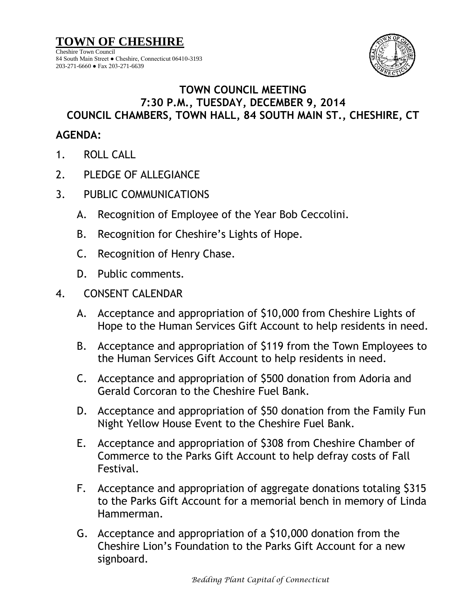**TOWN OF CHESHIRE** Cheshire Town Council 84 South Main Street ● Cheshire, Connecticut 06410-3193 203-271-6660 ● Fax 203-271-6639



## **TOWN COUNCIL MEETING 7:30 P.M., TUESDAY, DECEMBER 9, 2014 COUNCIL CHAMBERS, TOWN HALL, 84 SOUTH MAIN ST., CHESHIRE, CT**

## **AGENDA:**

- 1. ROLL CALL
- 2. PLEDGE OF ALLEGIANCE
- 3. PUBLIC COMMUNICATIONS
	- A. Recognition of Employee of the Year Bob Ceccolini.
	- B. Recognition for Cheshire's Lights of Hope.
	- C. Recognition of Henry Chase.
	- D. Public comments.
- 4. CONSENT CALENDAR
	- A. Acceptance and appropriation of \$10,000 from Cheshire Lights of Hope to the Human Services Gift Account to help residents in need.
	- B. Acceptance and appropriation of \$119 from the Town Employees to the Human Services Gift Account to help residents in need.
	- C. Acceptance and appropriation of \$500 donation from Adoria and Gerald Corcoran to the Cheshire Fuel Bank.
	- D. Acceptance and appropriation of \$50 donation from the Family Fun Night Yellow House Event to the Cheshire Fuel Bank.
	- E. Acceptance and appropriation of \$308 from Cheshire Chamber of Commerce to the Parks Gift Account to help defray costs of Fall Festival.
	- F. Acceptance and appropriation of aggregate donations totaling \$315 to the Parks Gift Account for a memorial bench in memory of Linda Hammerman.
	- G. Acceptance and appropriation of a \$10,000 donation from the Cheshire Lion's Foundation to the Parks Gift Account for a new signboard.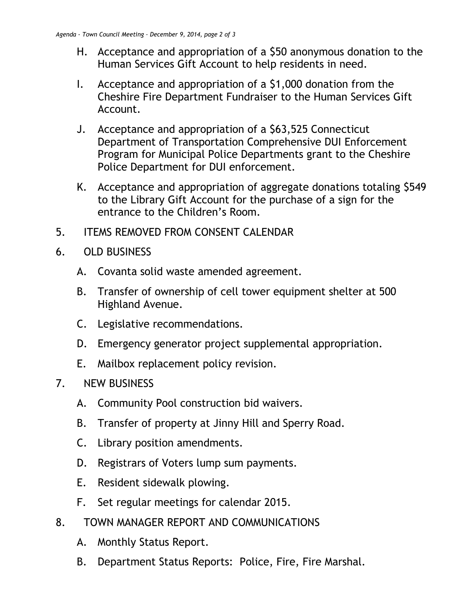- H. Acceptance and appropriation of a \$50 anonymous donation to the Human Services Gift Account to help residents in need.
- I. Acceptance and appropriation of a \$1,000 donation from the Cheshire Fire Department Fundraiser to the Human Services Gift Account.
- J. Acceptance and appropriation of a \$63,525 Connecticut Department of Transportation Comprehensive DUI Enforcement Program for Municipal Police Departments grant to the Cheshire Police Department for DUI enforcement.
- K. Acceptance and appropriation of aggregate donations totaling \$549 to the Library Gift Account for the purchase of a sign for the entrance to the Children's Room.
- 5. ITEMS REMOVED FROM CONSENT CALENDAR
- 6. OLD BUSINESS
	- A. Covanta solid waste amended agreement.
	- B. Transfer of ownership of cell tower equipment shelter at 500 Highland Avenue.
	- C. Legislative recommendations.
	- D. Emergency generator project supplemental appropriation.
	- E. Mailbox replacement policy revision.
- 7. NEW BUSINESS
	- A. Community Pool construction bid waivers.
	- B. Transfer of property at Jinny Hill and Sperry Road.
	- C. Library position amendments.
	- D. Registrars of Voters lump sum payments.
	- E. Resident sidewalk plowing.
	- F. Set regular meetings for calendar 2015.
- 8. TOWN MANAGER REPORT AND COMMUNICATIONS
	- A. Monthly Status Report.
	- B. Department Status Reports: Police, Fire, Fire Marshal.